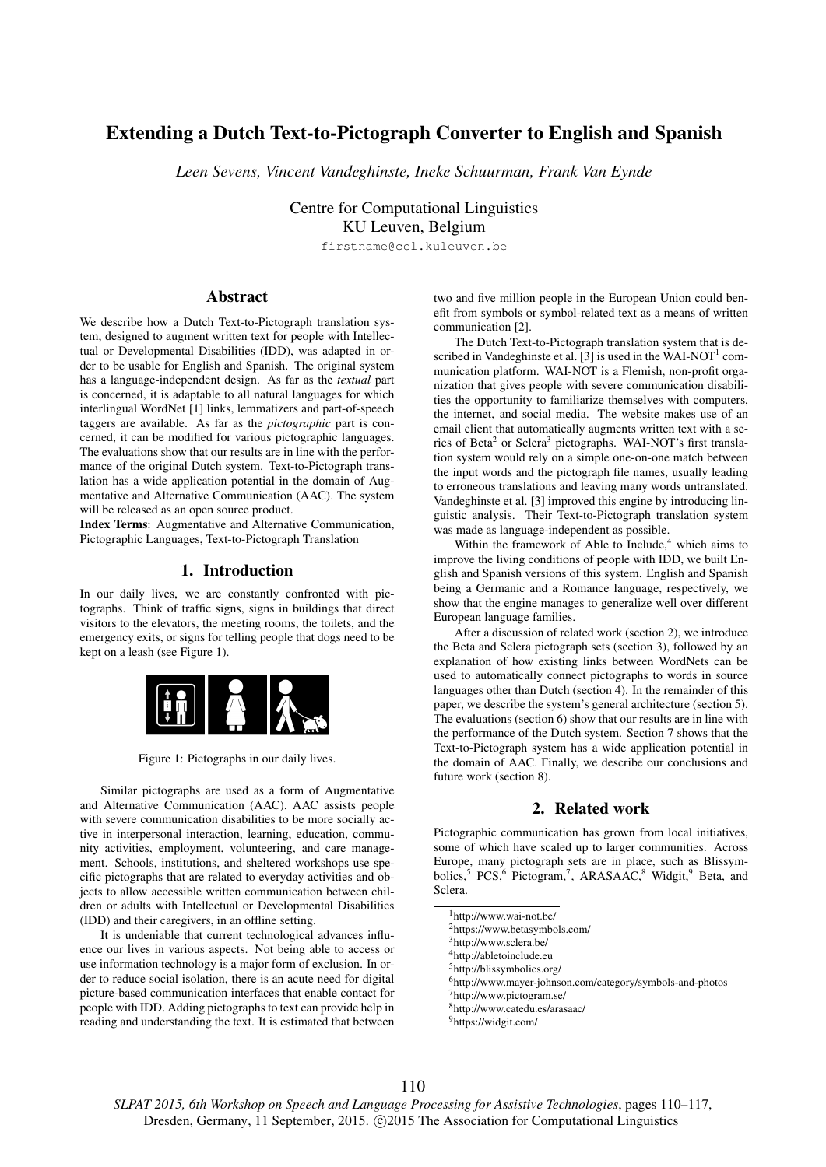# Extending a Dutch Text-to-Pictograph Converter to English and Spanish

*Leen Sevens, Vincent Vandeghinste, Ineke Schuurman, Frank Van Eynde*

Centre for Computational Linguistics KU Leuven, Belgium

firstname@ccl.kuleuven.be

# Abstract

We describe how a Dutch Text-to-Pictograph translation system, designed to augment written text for people with Intellectual or Developmental Disabilities (IDD), was adapted in order to be usable for English and Spanish. The original system has a language-independent design. As far as the *textual* part is concerned, it is adaptable to all natural languages for which interlingual WordNet [1] links, lemmatizers and part-of-speech taggers are available. As far as the *pictographic* part is concerned, it can be modified for various pictographic languages. The evaluations show that our results are in line with the performance of the original Dutch system. Text-to-Pictograph translation has a wide application potential in the domain of Augmentative and Alternative Communication (AAC). The system will be released as an open source product.

Index Terms: Augmentative and Alternative Communication, Pictographic Languages, Text-to-Pictograph Translation

# 1. Introduction

In our daily lives, we are constantly confronted with pictographs. Think of traffic signs, signs in buildings that direct visitors to the elevators, the meeting rooms, the toilets, and the emergency exits, or signs for telling people that dogs need to be kept on a leash (see Figure 1).



Figure 1: Pictographs in our daily lives.

Similar pictographs are used as a form of Augmentative and Alternative Communication (AAC). AAC assists people with severe communication disabilities to be more socially active in interpersonal interaction, learning, education, community activities, employment, volunteering, and care management. Schools, institutions, and sheltered workshops use specific pictographs that are related to everyday activities and objects to allow accessible written communication between children or adults with Intellectual or Developmental Disabilities (IDD) and their caregivers, in an offline setting.

It is undeniable that current technological advances influence our lives in various aspects. Not being able to access or use information technology is a major form of exclusion. In order to reduce social isolation, there is an acute need for digital picture-based communication interfaces that enable contact for people with IDD. Adding pictographs to text can provide help in reading and understanding the text. It is estimated that between two and five million people in the European Union could benefit from symbols or symbol-related text as a means of written communication [2].

The Dutch Text-to-Pictograph translation system that is described in Vandeghinste et al. [3] is used in the WAI-NOT<sup>1</sup> communication platform. WAI-NOT is a Flemish, non-profit organization that gives people with severe communication disabilities the opportunity to familiarize themselves with computers, the internet, and social media. The website makes use of an email client that automatically augments written text with a series of Beta<sup>2</sup> or Sclera<sup>3</sup> pictographs. WAI-NOT's first translation system would rely on a simple one-on-one match between the input words and the pictograph file names, usually leading to erroneous translations and leaving many words untranslated. Vandeghinste et al. [3] improved this engine by introducing linguistic analysis. Their Text-to-Pictograph translation system was made as language-independent as possible.

Within the framework of Able to Include, $4$  which aims to improve the living conditions of people with IDD, we built English and Spanish versions of this system. English and Spanish being a Germanic and a Romance language, respectively, we show that the engine manages to generalize well over different European language families.

After a discussion of related work (section 2), we introduce the Beta and Sclera pictograph sets (section 3), followed by an explanation of how existing links between WordNets can be used to automatically connect pictographs to words in source languages other than Dutch (section 4). In the remainder of this paper, we describe the system's general architecture (section 5). The evaluations (section 6) show that our results are in line with the performance of the Dutch system. Section 7 shows that the Text-to-Pictograph system has a wide application potential in the domain of AAC. Finally, we describe our conclusions and future work (section 8).

# 2. Related work

Pictographic communication has grown from local initiatives, some of which have scaled up to larger communities. Across Europe, many pictograph sets are in place, such as Blissymbolics,<sup>5</sup> PCS,<sup>6</sup> Pictogram,<sup>7</sup>, ARASAAC,<sup>8</sup> Widgit,<sup>9</sup> Beta, and Sclera.

<sup>4</sup>http://abletoinclude.eu

<sup>5</sup>http://blissymbolics.org/

<sup>7</sup>http://www.pictogram.se/

<sup>8</sup>http://www.catedu.es/arasaac/

<sup>9</sup>https://widgit.com/

*SLPAT 2015, 6th Workshop on Speech and Language Processing for Assistive Technologies*, pages 110–117, Dresden, Germany, 11 September, 2015. © 2015 The Association for Computational Linguistics

<sup>1</sup>http://www.wai-not.be/

<sup>2</sup>https://www.betasymbols.com/

<sup>3</sup>http://www.sclera.be/

<sup>6</sup>http://www.mayer-johnson.com/category/symbols-and-photos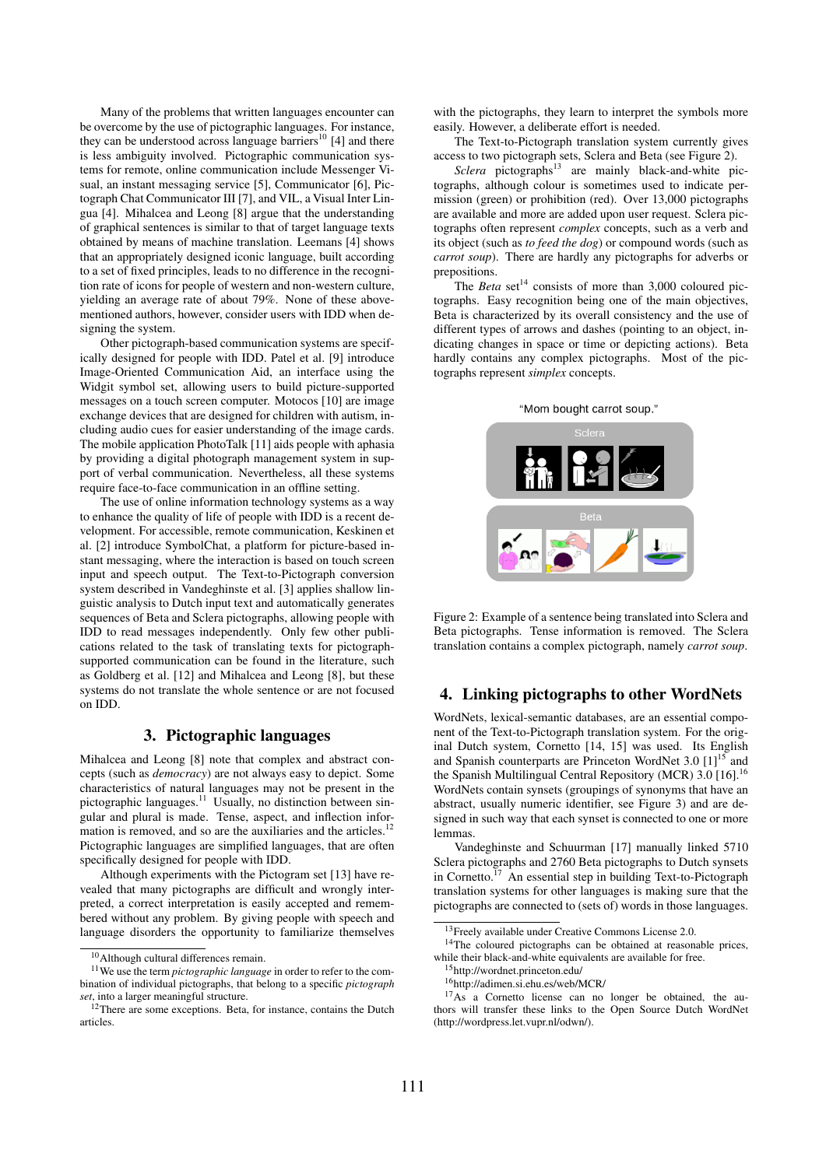Many of the problems that written languages encounter can be overcome by the use of pictographic languages. For instance, they can be understood across language barriers<sup>10</sup> [4] and there is less ambiguity involved. Pictographic communication systems for remote, online communication include Messenger Visual, an instant messaging service [5], Communicator [6], Pictograph Chat Communicator III [7], and VIL, a Visual Inter Lingua [4]. Mihalcea and Leong [8] argue that the understanding of graphical sentences is similar to that of target language texts obtained by means of machine translation. Leemans [4] shows that an appropriately designed iconic language, built according to a set of fixed principles, leads to no difference in the recognition rate of icons for people of western and non-western culture, yielding an average rate of about 79%. None of these abovementioned authors, however, consider users with IDD when designing the system.

Other pictograph-based communication systems are specifically designed for people with IDD. Patel et al. [9] introduce Image-Oriented Communication Aid, an interface using the Widgit symbol set, allowing users to build picture-supported messages on a touch screen computer. Motocos [10] are image exchange devices that are designed for children with autism, including audio cues for easier understanding of the image cards. The mobile application PhotoTalk [11] aids people with aphasia by providing a digital photograph management system in support of verbal communication. Nevertheless, all these systems require face-to-face communication in an offline setting.

The use of online information technology systems as a way to enhance the quality of life of people with IDD is a recent development. For accessible, remote communication, Keskinen et al. [2] introduce SymbolChat, a platform for picture-based instant messaging, where the interaction is based on touch screen input and speech output. The Text-to-Pictograph conversion system described in Vandeghinste et al. [3] applies shallow linguistic analysis to Dutch input text and automatically generates sequences of Beta and Sclera pictographs, allowing people with IDD to read messages independently. Only few other publications related to the task of translating texts for pictographsupported communication can be found in the literature, such as Goldberg et al. [12] and Mihalcea and Leong [8], but these systems do not translate the whole sentence or are not focused on IDD.

# 3. Pictographic languages

Mihalcea and Leong [8] note that complex and abstract concepts (such as *democracy*) are not always easy to depict. Some characteristics of natural languages may not be present in the pictographic languages.<sup>11</sup> Usually, no distinction between singular and plural is made. Tense, aspect, and inflection information is removed, and so are the auxiliaries and the articles.<sup>12</sup> Pictographic languages are simplified languages, that are often specifically designed for people with IDD.

Although experiments with the Pictogram set [13] have revealed that many pictographs are difficult and wrongly interpreted, a correct interpretation is easily accepted and remembered without any problem. By giving people with speech and language disorders the opportunity to familiarize themselves

with the pictographs, they learn to interpret the symbols more easily. However, a deliberate effort is needed.

The Text-to-Pictograph translation system currently gives access to two pictograph sets, Sclera and Beta (see Figure 2).

*Sclera* pictographs<sup>13</sup> are mainly black-and-white pictographs, although colour is sometimes used to indicate permission (green) or prohibition (red). Over 13,000 pictographs are available and more are added upon user request. Sclera pictographs often represent *complex* concepts, such as a verb and its object (such as *to feed the dog*) or compound words (such as *carrot soup*). There are hardly any pictographs for adverbs or prepositions.

The *Beta* set<sup>14</sup> consists of more than 3,000 coloured pictographs. Easy recognition being one of the main objectives, Beta is characterized by its overall consistency and the use of different types of arrows and dashes (pointing to an object, indicating changes in space or time or depicting actions). Beta hardly contains any complex pictographs. Most of the pictographs represent *simplex* concepts.

### "Mom bought carrot soup."



Figure 2: Example of a sentence being translated into Sclera and Beta pictographs. Tense information is removed. The Sclera translation contains a complex pictograph, namely *carrot soup*.

# 4. Linking pictographs to other WordNets

WordNets, lexical-semantic databases, are an essential component of the Text-to-Pictograph translation system. For the original Dutch system, Cornetto [14, 15] was used. Its English and Spanish counterparts are Princeton WordNet 3.0  $[1]^{15}$  and the Spanish Multilingual Central Repository (MCR) 3.0 [16].<sup>16</sup> WordNets contain synsets (groupings of synonyms that have an abstract, usually numeric identifier, see Figure 3) and are designed in such way that each synset is connected to one or more lemmas.

Vandeghinste and Schuurman [17] manually linked 5710 Sclera pictographs and 2760 Beta pictographs to Dutch synsets in Cornetto.<sup>17</sup> An essential step in building Text-to-Pictograph translation systems for other languages is making sure that the pictographs are connected to (sets of) words in those languages.

<sup>14</sup>The coloured pictographs can be obtained at reasonable prices, while their black-and-white equivalents are available for free.

<sup>10</sup>Although cultural differences remain.

<sup>11</sup>We use the term *pictographic language* in order to refer to the combination of individual pictographs, that belong to a specific *pictograph set*, into a larger meaningful structure.

<sup>&</sup>lt;sup>12</sup>There are some exceptions. Beta, for instance, contains the Dutch articles.

<sup>&</sup>lt;sup>13</sup>Freely available under Creative Commons License 2.0.

<sup>15</sup>http://wordnet.princeton.edu/

<sup>16</sup>http://adimen.si.ehu.es/web/MCR/

 $17\text{As}$  a Cornetto license can no longer be obtained, the authors will transfer these links to the Open Source Dutch WordNet (http://wordpress.let.vupr.nl/odwn/).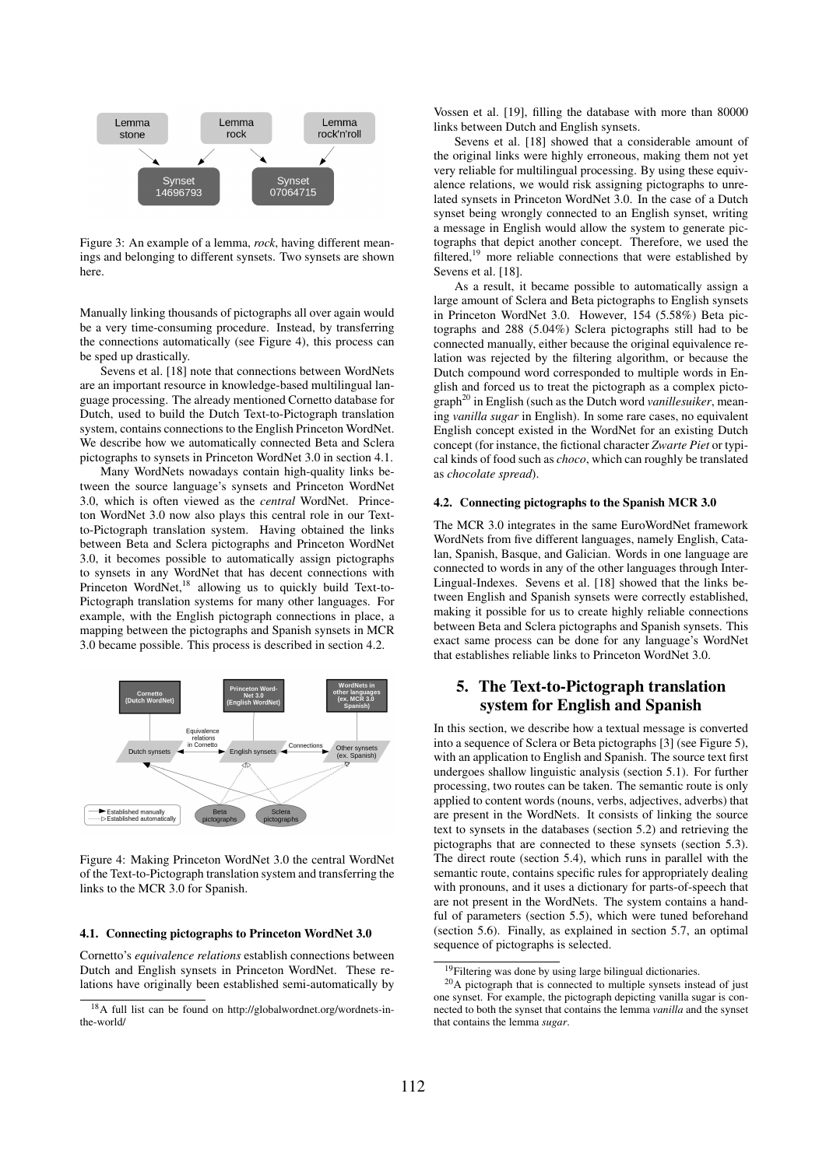

Figure 3: An example of a lemma, *rock*, having different meanings and belonging to different synsets. Two synsets are shown here.

Manually linking thousands of pictographs all over again would be a very time-consuming procedure. Instead, by transferring the connections automatically (see Figure 4), this process can be sped up drastically.

Sevens et al. [18] note that connections between WordNets are an important resource in knowledge-based multilingual language processing. The already mentioned Cornetto database for Dutch, used to build the Dutch Text-to-Pictograph translation system, contains connections to the English Princeton WordNet. We describe how we automatically connected Beta and Sclera pictographs to synsets in Princeton WordNet 3.0 in section 4.1.

Many WordNets nowadays contain high-quality links between the source language's synsets and Princeton WordNet 3.0, which is often viewed as the *central* WordNet. Princeton WordNet 3.0 now also plays this central role in our Textto-Pictograph translation system. Having obtained the links between Beta and Sclera pictographs and Princeton WordNet 3.0, it becomes possible to automatically assign pictographs to synsets in any WordNet that has decent connections with Princeton WordNet, $^{18}$  allowing us to quickly build Text-to-Pictograph translation systems for many other languages. For example, with the English pictograph connections in place, a mapping between the pictographs and Spanish synsets in MCR 3.0 became possible. This process is described in section 4.2.



Figure 4: Making Princeton WordNet 3.0 the central WordNet of the Text-to-Pictograph translation system and transferring the links to the MCR 3.0 for Spanish.

### 4.1. Connecting pictographs to Princeton WordNet 3.0

Cornetto's *equivalence relations* establish connections between Dutch and English synsets in Princeton WordNet. These relations have originally been established semi-automatically by

Vossen et al. [19], filling the database with more than 80000 links between Dutch and English synsets.

Sevens et al. [18] showed that a considerable amount of the original links were highly erroneous, making them not yet very reliable for multilingual processing. By using these equivalence relations, we would risk assigning pictographs to unrelated synsets in Princeton WordNet 3.0. In the case of a Dutch synset being wrongly connected to an English synset, writing a message in English would allow the system to generate pictographs that depict another concept. Therefore, we used the filtered,<sup>19</sup> more reliable connections that were established by Sevens et al. [18].

As a result, it became possible to automatically assign a large amount of Sclera and Beta pictographs to English synsets in Princeton WordNet 3.0. However, 154 (5.58%) Beta pictographs and 288 (5.04%) Sclera pictographs still had to be connected manually, either because the original equivalence relation was rejected by the filtering algorithm, or because the Dutch compound word corresponded to multiple words in English and forced us to treat the pictograph as a complex pictograph<sup>20</sup> in English (such as the Dutch word *vanillesuiker*, meaning *vanilla sugar* in English). In some rare cases, no equivalent English concept existed in the WordNet for an existing Dutch concept (for instance, the fictional character *Zwarte Piet* or typical kinds of food such as *choco*, which can roughly be translated as *chocolate spread*).

#### 4.2. Connecting pictographs to the Spanish MCR 3.0

The MCR 3.0 integrates in the same EuroWordNet framework WordNets from five different languages, namely English, Catalan, Spanish, Basque, and Galician. Words in one language are connected to words in any of the other languages through Inter-Lingual-Indexes. Sevens et al. [18] showed that the links between English and Spanish synsets were correctly established, making it possible for us to create highly reliable connections between Beta and Sclera pictographs and Spanish synsets. This exact same process can be done for any language's WordNet that establishes reliable links to Princeton WordNet 3.0.

# 5. The Text-to-Pictograph translation system for English and Spanish

In this section, we describe how a textual message is converted into a sequence of Sclera or Beta pictographs [3] (see Figure 5), with an application to English and Spanish. The source text first undergoes shallow linguistic analysis (section 5.1). For further processing, two routes can be taken. The semantic route is only applied to content words (nouns, verbs, adjectives, adverbs) that are present in the WordNets. It consists of linking the source text to synsets in the databases (section 5.2) and retrieving the pictographs that are connected to these synsets (section 5.3). The direct route (section 5.4), which runs in parallel with the semantic route, contains specific rules for appropriately dealing with pronouns, and it uses a dictionary for parts-of-speech that are not present in the WordNets. The system contains a handful of parameters (section 5.5), which were tuned beforehand (section 5.6). Finally, as explained in section 5.7, an optimal sequence of pictographs is selected.

<sup>18</sup>A full list can be found on http://globalwordnet.org/wordnets-inthe-world/

<sup>&</sup>lt;sup>19</sup>Filtering was done by using large bilingual dictionaries.

 $^{20}$ A pictograph that is connected to multiple synsets instead of just one synset. For example, the pictograph depicting vanilla sugar is connected to both the synset that contains the lemma *vanilla* and the synset that contains the lemma *sugar*.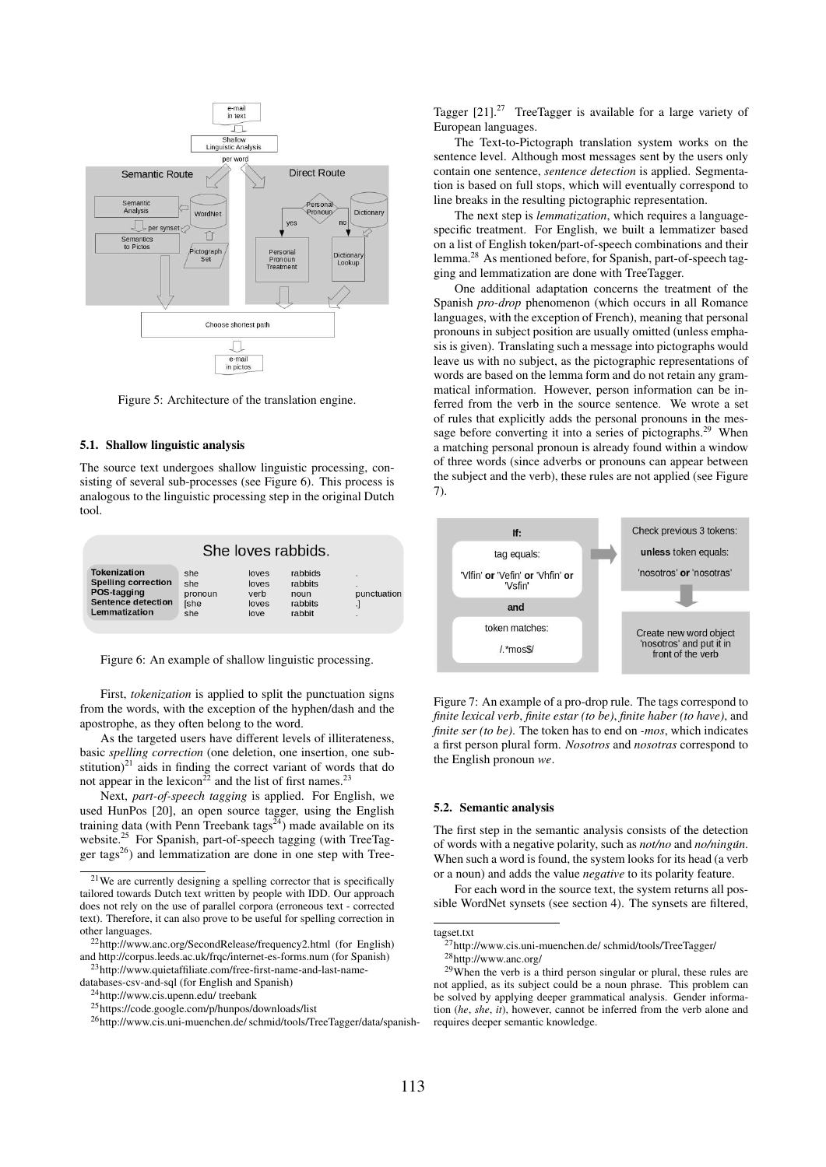

Figure 5: Architecture of the translation engine.

### 5.1. Shallow linguistic analysis

The source text undergoes shallow linguistic processing, consisting of several sub-processes (see Figure 6). This process is analogous to the linguistic processing step in the original Dutch tool.

| She loves rabbids.         |         |       |         |             |  |  |  |
|----------------------------|---------|-------|---------|-------------|--|--|--|
| Tokenization               | she     | loves | rabbids | ٠           |  |  |  |
| <b>Spelling correction</b> | she     | loves | rabbits | ٠           |  |  |  |
| POS-tagging                | pronoun | verb  | noun    | punctuation |  |  |  |
| <b>Sentence detection</b>  | ſshe    | loves | rabbits | ٠           |  |  |  |
| Lemmatization              | she     | love  | rabbit  | ٠           |  |  |  |

Figure 6: An example of shallow linguistic processing.

First, *tokenization* is applied to split the punctuation signs from the words, with the exception of the hyphen/dash and the apostrophe, as they often belong to the word.

As the targeted users have different levels of illiterateness, basic *spelling correction* (one deletion, one insertion, one substitution) $^{21}$  aids in finding the correct variant of words that do not appear in the lexicon<sup>22</sup> and the list of first names.<sup>23</sup>

Next, *part-of-speech tagging* is applied. For English, we used HunPos [20], an open source tagger, using the English training data (with Penn Treebank tags<sup> $24$ </sup>) made available on its website.<sup>25</sup> For Spanish, part-of-speech tagging (with TreeTagger tags<sup>26</sup>) and lemmatization are done in one step with TreeTagger  $[21]$ <sup>27</sup> TreeTagger is available for a large variety of European languages.

The Text-to-Pictograph translation system works on the sentence level. Although most messages sent by the users only contain one sentence, *sentence detection* is applied. Segmentation is based on full stops, which will eventually correspond to line breaks in the resulting pictographic representation.

The next step is *lemmatization*, which requires a languagespecific treatment. For English, we built a lemmatizer based on a list of English token/part-of-speech combinations and their lemma.<sup>28</sup> As mentioned before, for Spanish, part-of-speech tagging and lemmatization are done with TreeTagger.

One additional adaptation concerns the treatment of the Spanish *pro-drop* phenomenon (which occurs in all Romance languages, with the exception of French), meaning that personal pronouns in subject position are usually omitted (unless emphasis is given). Translating such a message into pictographs would leave us with no subject, as the pictographic representations of words are based on the lemma form and do not retain any grammatical information. However, person information can be inferred from the verb in the source sentence. We wrote a set of rules that explicitly adds the personal pronouns in the message before converting it into a series of pictographs.<sup>29</sup> When a matching personal pronoun is already found within a window of three words (since adverbs or pronouns can appear between the subject and the verb), these rules are not applied (see Figure 7).



Figure 7: An example of a pro-drop rule. The tags correspond to *finite lexical verb*, *finite estar (to be)*, *finite haber (to have)*, and *finite ser (to be)*. The token has to end on *-mos*, which indicates a first person plural form. *Nosotros* and *nosotras* correspond to the English pronoun *we*.

#### 5.2. Semantic analysis

The first step in the semantic analysis consists of the detection of words with a negative polarity, such as *not/no* and *no/ningun´* . When such a word is found, the system looks for its head (a verb or a noun) and adds the value *negative* to its polarity feature.

For each word in the source text, the system returns all possible WordNet synsets (see section 4). The synsets are filtered,

<sup>21</sup>We are currently designing a spelling corrector that is specifically tailored towards Dutch text written by people with IDD. Our approach does not rely on the use of parallel corpora (erroneous text - corrected text). Therefore, it can also prove to be useful for spelling correction in other languages.

<sup>22</sup>http://www.anc.org/SecondRelease/frequency2.html (for English) and http://corpus.leeds.ac.uk/frqc/internet-es-forms.num (for Spanish)

<sup>23</sup>http://www.quietaffiliate.com/free-first-name-and-last-namedatabases-csv-and-sql (for English and Spanish)

<sup>24</sup>http://www.cis.upenn.edu/ treebank

<sup>25</sup>https://code.google.com/p/hunpos/downloads/list

<sup>26</sup>http://www.cis.uni-muenchen.de/ schmid/tools/TreeTagger/data/spanish-

tagset.txt

<sup>&</sup>lt;sup>27</sup>http://www.cis.uni-muenchen.de/ schmid/tools/TreeTagger/ <sup>28</sup>http://www.anc.org/

 $29$ When the verb is a third person singular or plural, these rules are not applied, as its subject could be a noun phrase. This problem can be solved by applying deeper grammatical analysis. Gender information (*he*, *she*, *it*), however, cannot be inferred from the verb alone and requires deeper semantic knowledge.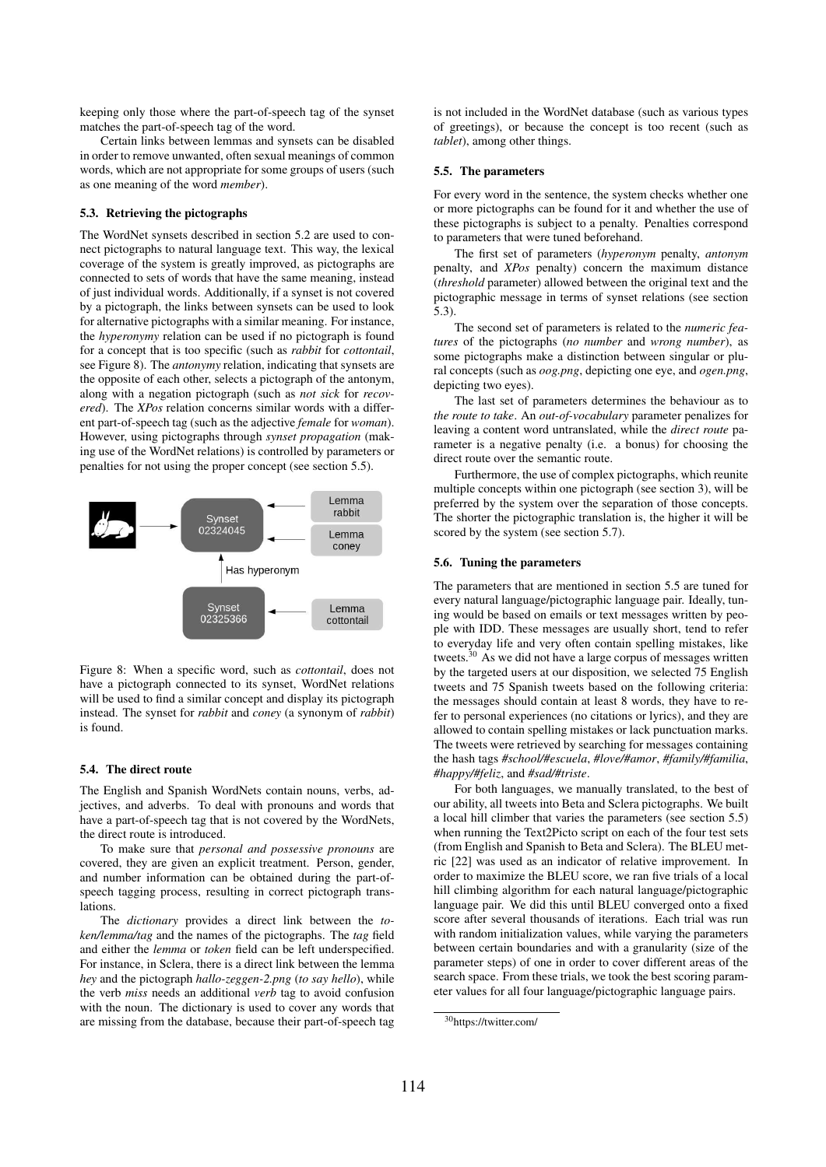keeping only those where the part-of-speech tag of the synset matches the part-of-speech tag of the word.

Certain links between lemmas and synsets can be disabled in order to remove unwanted, often sexual meanings of common words, which are not appropriate for some groups of users (such as one meaning of the word *member*).

### 5.3. Retrieving the pictographs

The WordNet synsets described in section 5.2 are used to connect pictographs to natural language text. This way, the lexical coverage of the system is greatly improved, as pictographs are connected to sets of words that have the same meaning, instead of just individual words. Additionally, if a synset is not covered by a pictograph, the links between synsets can be used to look for alternative pictographs with a similar meaning. For instance, the *hyperonymy* relation can be used if no pictograph is found for a concept that is too specific (such as *rabbit* for *cottontail*, see Figure 8). The *antonymy* relation, indicating that synsets are the opposite of each other, selects a pictograph of the antonym, along with a negation pictograph (such as *not sick* for *recovered*). The *XPos* relation concerns similar words with a different part-of-speech tag (such as the adjective *female* for *woman*). However, using pictographs through *synset propagation* (making use of the WordNet relations) is controlled by parameters or penalties for not using the proper concept (see section 5.5).



Figure 8: When a specific word, such as *cottontail*, does not have a pictograph connected to its synset, WordNet relations will be used to find a similar concept and display its pictograph instead. The synset for *rabbit* and *coney* (a synonym of *rabbit*) is found.

#### 5.4. The direct route

The English and Spanish WordNets contain nouns, verbs, adjectives, and adverbs. To deal with pronouns and words that have a part-of-speech tag that is not covered by the WordNets, the direct route is introduced.

To make sure that *personal and possessive pronouns* are covered, they are given an explicit treatment. Person, gender, and number information can be obtained during the part-ofspeech tagging process, resulting in correct pictograph translations.

The *dictionary* provides a direct link between the *token/lemma/tag* and the names of the pictographs. The *tag* field and either the *lemma* or *token* field can be left underspecified. For instance, in Sclera, there is a direct link between the lemma *hey* and the pictograph *hallo-zeggen-2.png* (*to say hello*), while the verb *miss* needs an additional *verb* tag to avoid confusion with the noun. The dictionary is used to cover any words that are missing from the database, because their part-of-speech tag is not included in the WordNet database (such as various types of greetings), or because the concept is too recent (such as *tablet*), among other things.

#### 5.5. The parameters

For every word in the sentence, the system checks whether one or more pictographs can be found for it and whether the use of these pictographs is subject to a penalty. Penalties correspond to parameters that were tuned beforehand.

The first set of parameters (*hyperonym* penalty, *antonym* penalty, and *XPos* penalty) concern the maximum distance (*threshold* parameter) allowed between the original text and the pictographic message in terms of synset relations (see section 5.3).

The second set of parameters is related to the *numeric features* of the pictographs (*no number* and *wrong number*), as some pictographs make a distinction between singular or plural concepts (such as *oog.png*, depicting one eye, and *ogen.png*, depicting two eyes).

The last set of parameters determines the behaviour as to *the route to take*. An *out-of-vocabulary* parameter penalizes for leaving a content word untranslated, while the *direct route* parameter is a negative penalty (i.e. a bonus) for choosing the direct route over the semantic route.

Furthermore, the use of complex pictographs, which reunite multiple concepts within one pictograph (see section 3), will be preferred by the system over the separation of those concepts. The shorter the pictographic translation is, the higher it will be scored by the system (see section 5.7).

#### 5.6. Tuning the parameters

The parameters that are mentioned in section 5.5 are tuned for every natural language/pictographic language pair. Ideally, tuning would be based on emails or text messages written by people with IDD. These messages are usually short, tend to refer to everyday life and very often contain spelling mistakes, like tweets.<sup>30</sup> As we did not have a large corpus of messages written by the targeted users at our disposition, we selected 75 English tweets and 75 Spanish tweets based on the following criteria: the messages should contain at least 8 words, they have to refer to personal experiences (no citations or lyrics), and they are allowed to contain spelling mistakes or lack punctuation marks. The tweets were retrieved by searching for messages containing the hash tags *#school/#escuela*, *#love/#amor*, *#family/#familia*, *#happy/#feliz*, and *#sad/#triste*.

For both languages, we manually translated, to the best of our ability, all tweets into Beta and Sclera pictographs. We built a local hill climber that varies the parameters (see section 5.5) when running the Text2Picto script on each of the four test sets (from English and Spanish to Beta and Sclera). The BLEU metric [22] was used as an indicator of relative improvement. In order to maximize the BLEU score, we ran five trials of a local hill climbing algorithm for each natural language/pictographic language pair. We did this until BLEU converged onto a fixed score after several thousands of iterations. Each trial was run with random initialization values, while varying the parameters between certain boundaries and with a granularity (size of the parameter steps) of one in order to cover different areas of the search space. From these trials, we took the best scoring parameter values for all four language/pictographic language pairs.

<sup>30</sup>https://twitter.com/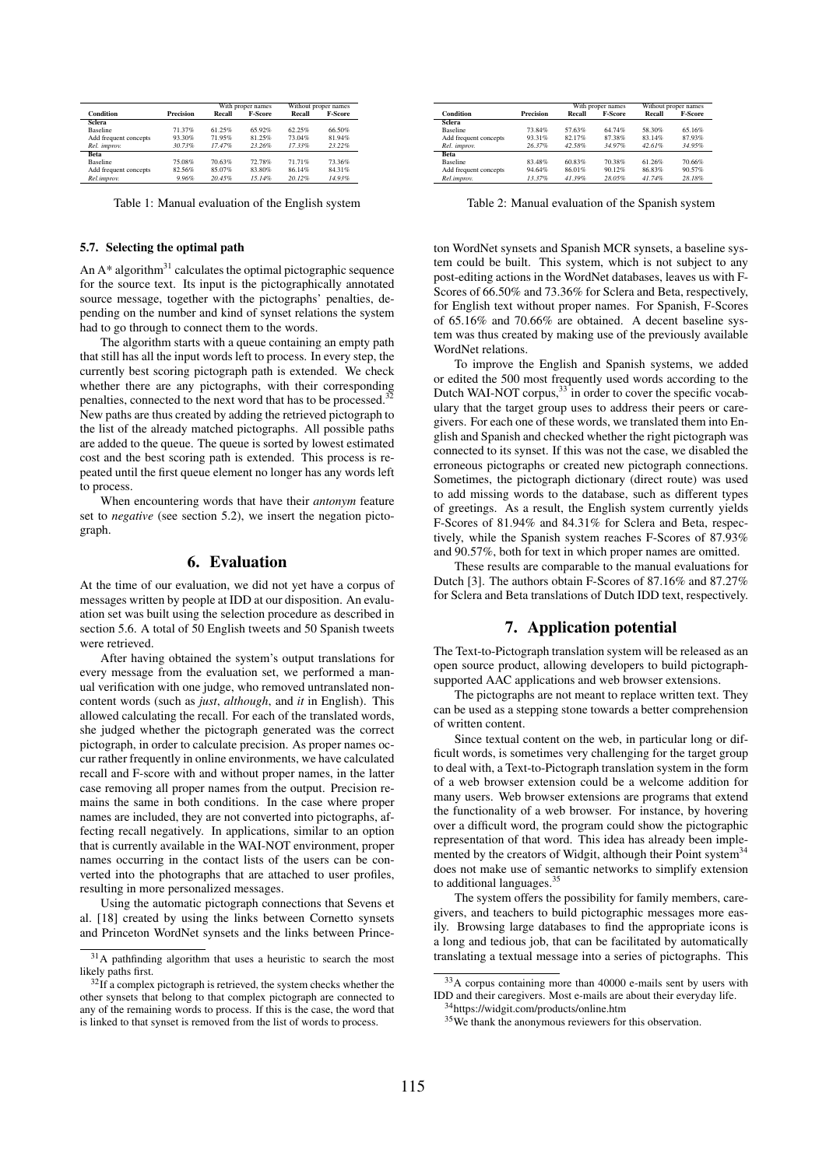|                       |                  | With proper names |                | Without proper names |         |
|-----------------------|------------------|-------------------|----------------|----------------------|---------|
| Condition             | <b>Precision</b> | Recall            | <b>F-Score</b> | Recall               | F-Score |
| <b>Sclera</b>         |                  |                   |                |                      |         |
| <b>Baseline</b>       | 71.37%           | 61.25%            | 65.92%         | 62.25%               | 66.50%  |
| Add frequent concepts | 93.30%           | 71.95%            | 81.25%         | 73.04%               | 81.94%  |
| Rel. improv.          | 30.73%           | 17.47%            | 23.26%         | 17.33%               | 23.22%  |
| <b>Beta</b>           |                  |                   |                |                      |         |
| <b>Baseline</b>       | 75.08%           | 70.63%            | 72.78%         | 71.71%               | 73.36%  |
| Add frequent concepts | 82.56%           | 85.07%            | 83.80%         | 86.14%               | 84.31%  |
| Rel.improv.           | 9.96%            | 20.45%            | 15.14%         | 20.12%               | 14.93%  |

Table 1: Manual evaluation of the English system

#### 5.7. Selecting the optimal path

An  $A^*$  algorithm<sup>31</sup> calculates the optimal pictographic sequence for the source text. Its input is the pictographically annotated source message, together with the pictographs' penalties, depending on the number and kind of synset relations the system had to go through to connect them to the words.

The algorithm starts with a queue containing an empty path that still has all the input words left to process. In every step, the currently best scoring pictograph path is extended. We check whether there are any pictographs, with their corresponding penalties, connected to the next word that has to be processed.<sup>3</sup> New paths are thus created by adding the retrieved pictograph to the list of the already matched pictographs. All possible paths are added to the queue. The queue is sorted by lowest estimated cost and the best scoring path is extended. This process is repeated until the first queue element no longer has any words left to process.

When encountering words that have their *antonym* feature set to *negative* (see section 5.2), we insert the negation pictograph.

# 6. Evaluation

At the time of our evaluation, we did not yet have a corpus of messages written by people at IDD at our disposition. An evaluation set was built using the selection procedure as described in section 5.6. A total of 50 English tweets and 50 Spanish tweets were retrieved.

After having obtained the system's output translations for every message from the evaluation set, we performed a manual verification with one judge, who removed untranslated noncontent words (such as *just*, *although*, and *it* in English). This allowed calculating the recall. For each of the translated words, she judged whether the pictograph generated was the correct pictograph, in order to calculate precision. As proper names occur rather frequently in online environments, we have calculated recall and F-score with and without proper names, in the latter case removing all proper names from the output. Precision remains the same in both conditions. In the case where proper names are included, they are not converted into pictographs, affecting recall negatively. In applications, similar to an option that is currently available in the WAI-NOT environment, proper names occurring in the contact lists of the users can be converted into the photographs that are attached to user profiles, resulting in more personalized messages.

Using the automatic pictograph connections that Sevens et al. [18] created by using the links between Cornetto synsets and Princeton WordNet synsets and the links between Prince-

|                       |                  | With proper names |                | Without proper names |                |
|-----------------------|------------------|-------------------|----------------|----------------------|----------------|
| Condition             | <b>Precision</b> | Recall            | <b>F-Score</b> | Recall               | <b>F-Score</b> |
| Sclera                |                  |                   |                |                      |                |
| <b>Baseline</b>       | 73.84%           | 57.63%            | 64.74%         | 58.30%               | 65.16%         |
| Add frequent concepts | 93.31%           | 82.17%            | 87.38%         | 83.14%               | 87.93%         |
| Rel. improv.          | 26.37%           | 42.58%            | 34.97%         | 42.61%               | 34.95%         |
| <b>Beta</b>           |                  |                   |                |                      |                |
| <b>Baseline</b>       | 83.48%           | 60.83%            | 70.38%         | 61.26%               | 70.66%         |
| Add frequent concepts | 94.64%           | 86.01%            | 90.12%         | 86.83%               | 90.57%         |
| Rel.improv.           | 13.37%           | 41.39%            | 28.05%         | 41.74%               | 28.18%         |

Table 2: Manual evaluation of the Spanish system

ton WordNet synsets and Spanish MCR synsets, a baseline system could be built. This system, which is not subject to any post-editing actions in the WordNet databases, leaves us with F-Scores of 66.50% and 73.36% for Sclera and Beta, respectively, for English text without proper names. For Spanish, F-Scores of 65.16% and 70.66% are obtained. A decent baseline system was thus created by making use of the previously available WordNet relations.

To improve the English and Spanish systems, we added or edited the 500 most frequently used words according to the Dutch WAI-NOT corpus,  $33$  in order to cover the specific vocabulary that the target group uses to address their peers or caregivers. For each one of these words, we translated them into English and Spanish and checked whether the right pictograph was connected to its synset. If this was not the case, we disabled the erroneous pictographs or created new pictograph connections. Sometimes, the pictograph dictionary (direct route) was used to add missing words to the database, such as different types of greetings. As a result, the English system currently yields F-Scores of 81.94% and 84.31% for Sclera and Beta, respectively, while the Spanish system reaches F-Scores of 87.93% and 90.57%, both for text in which proper names are omitted.

These results are comparable to the manual evaluations for Dutch [3]. The authors obtain F-Scores of 87.16% and 87.27% for Sclera and Beta translations of Dutch IDD text, respectively.

## 7. Application potential

The Text-to-Pictograph translation system will be released as an open source product, allowing developers to build pictographsupported AAC applications and web browser extensions.

The pictographs are not meant to replace written text. They can be used as a stepping stone towards a better comprehension of written content.

Since textual content on the web, in particular long or difficult words, is sometimes very challenging for the target group to deal with, a Text-to-Pictograph translation system in the form of a web browser extension could be a welcome addition for many users. Web browser extensions are programs that extend the functionality of a web browser. For instance, by hovering over a difficult word, the program could show the pictographic representation of that word. This idea has already been implemented by the creators of Widgit, although their Point system<sup>34</sup> does not make use of semantic networks to simplify extension to additional languages.<sup>35</sup>

The system offers the possibility for family members, caregivers, and teachers to build pictographic messages more easily. Browsing large databases to find the appropriate icons is a long and tedious job, that can be facilitated by automatically translating a textual message into a series of pictographs. This

<sup>31</sup>A pathfinding algorithm that uses a heuristic to search the most likely paths first.

 $32$ If a complex pictograph is retrieved, the system checks whether the other synsets that belong to that complex pictograph are connected to any of the remaining words to process. If this is the case, the word that is linked to that synset is removed from the list of words to process.

<sup>33</sup>A corpus containing more than 40000 e-mails sent by users with IDD and their caregivers. Most e-mails are about their everyday life. <sup>34</sup>https://widgit.com/products/online.htm

<sup>&</sup>lt;sup>35</sup>We thank the anonymous reviewers for this observation.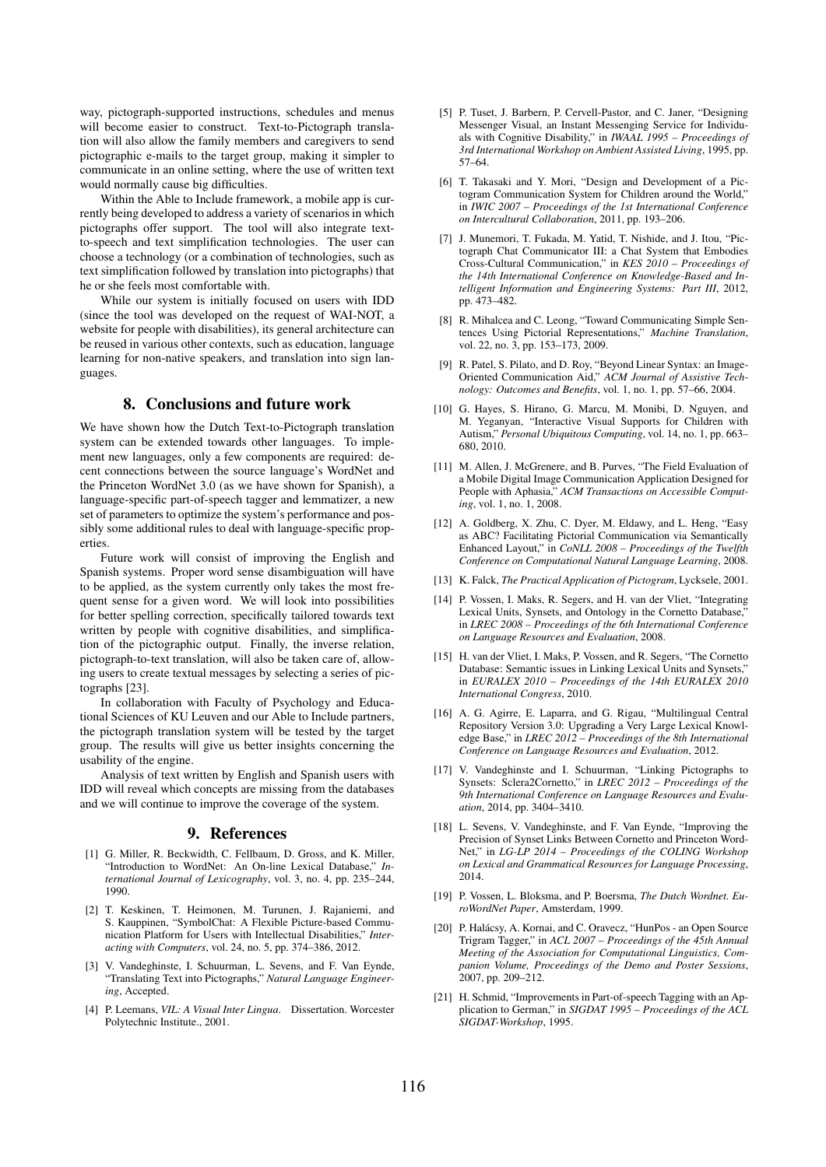way, pictograph-supported instructions, schedules and menus will become easier to construct. Text-to-Pictograph translation will also allow the family members and caregivers to send pictographic e-mails to the target group, making it simpler to communicate in an online setting, where the use of written text would normally cause big difficulties.

Within the Able to Include framework, a mobile app is currently being developed to address a variety of scenarios in which pictographs offer support. The tool will also integrate textto-speech and text simplification technologies. The user can choose a technology (or a combination of technologies, such as text simplification followed by translation into pictographs) that he or she feels most comfortable with.

While our system is initially focused on users with IDD (since the tool was developed on the request of WAI-NOT, a website for people with disabilities), its general architecture can be reused in various other contexts, such as education, language learning for non-native speakers, and translation into sign languages.

# 8. Conclusions and future work

We have shown how the Dutch Text-to-Pictograph translation system can be extended towards other languages. To implement new languages, only a few components are required: decent connections between the source language's WordNet and the Princeton WordNet 3.0 (as we have shown for Spanish), a language-specific part-of-speech tagger and lemmatizer, a new set of parameters to optimize the system's performance and possibly some additional rules to deal with language-specific properties.

Future work will consist of improving the English and Spanish systems. Proper word sense disambiguation will have to be applied, as the system currently only takes the most frequent sense for a given word. We will look into possibilities for better spelling correction, specifically tailored towards text written by people with cognitive disabilities, and simplification of the pictographic output. Finally, the inverse relation, pictograph-to-text translation, will also be taken care of, allowing users to create textual messages by selecting a series of pictographs [23].

In collaboration with Faculty of Psychology and Educational Sciences of KU Leuven and our Able to Include partners, the pictograph translation system will be tested by the target group. The results will give us better insights concerning the usability of the engine.

Analysis of text written by English and Spanish users with IDD will reveal which concepts are missing from the databases and we will continue to improve the coverage of the system.

### 9. References

- [1] G. Miller, R. Beckwidth, C. Fellbaum, D. Gross, and K. Miller, "Introduction to WordNet: An On-line Lexical Database," *International Journal of Lexicography*, vol. 3, no. 4, pp. 235–244, 1990.
- [2] T. Keskinen, T. Heimonen, M. Turunen, J. Rajaniemi, and S. Kauppinen, "SymbolChat: A Flexible Picture-based Communication Platform for Users with Intellectual Disabilities," *Interacting with Computers*, vol. 24, no. 5, pp. 374–386, 2012.
- [3] V. Vandeghinste, I. Schuurman, L. Sevens, and F. Van Eynde, "Translating Text into Pictographs," *Natural Language Engineering*, Accepted.
- [4] P. Leemans, *VIL: A Visual Inter Lingua*. Dissertation. Worcester Polytechnic Institute., 2001.
- [5] P. Tuset, J. Barbern, P. Cervell-Pastor, and C. Janer, "Designing Messenger Visual, an Instant Messenging Service for Individuals with Cognitive Disability," in *IWAAL 1995 – Proceedings of 3rd International Workshop on Ambient Assisted Living*, 1995, pp. 57–64.
- [6] T. Takasaki and Y. Mori, "Design and Development of a Pictogram Communication System for Children around the World," in *IWIC 2007 – Proceedings of the 1st International Conference on Intercultural Collaboration*, 2011, pp. 193–206.
- [7] J. Munemori, T. Fukada, M. Yatid, T. Nishide, and J. Itou. "Pictograph Chat Communicator III: a Chat System that Embodies Cross-Cultural Communication," in *KES 2010 – Proceedings of the 14th International Conference on Knowledge-Based and Intelligent Information and Engineering Systems: Part III*, 2012, pp. 473–482.
- [8] R. Mihalcea and C. Leong, "Toward Communicating Simple Sentences Using Pictorial Representations," *Machine Translation*, vol. 22, no. 3, pp. 153–173, 2009.
- [9] R. Patel, S. Pilato, and D. Roy, "Beyond Linear Syntax: an Image-Oriented Communication Aid," *ACM Journal of Assistive Technology: Outcomes and Benefits*, vol. 1, no. 1, pp. 57–66, 2004.
- [10] G. Hayes, S. Hirano, G. Marcu, M. Monibi, D. Nguyen, and M. Yeganyan, "Interactive Visual Supports for Children with Autism," *Personal Ubiquitous Computing*, vol. 14, no. 1, pp. 663– 680, 2010.
- [11] M. Allen, J. McGrenere, and B. Purves, "The Field Evaluation of a Mobile Digital Image Communication Application Designed for People with Aphasia," *ACM Transactions on Accessible Computing*, vol. 1, no. 1, 2008.
- [12] A. Goldberg, X. Zhu, C. Dyer, M. Eldawy, and L. Heng, "Easy as ABC? Facilitating Pictorial Communication via Semantically Enhanced Layout," in *CoNLL 2008 – Proceedings of the Twelfth Conference on Computational Natural Language Learning*, 2008.
- [13] K. Falck, *The Practical Application of Pictogram*, Lycksele, 2001.
- [14] P. Vossen, I. Maks, R. Segers, and H. van der Vliet, "Integrating Lexical Units, Synsets, and Ontology in the Cornetto Database, in *LREC 2008 – Proceedings of the 6th International Conference on Language Resources and Evaluation*, 2008.
- [15] H. van der Vliet, I. Maks, P. Vossen, and R. Segers, "The Cornetto Database: Semantic issues in Linking Lexical Units and Synsets,' in *EURALEX 2010 – Proceedings of the 14th EURALEX 2010 International Congress*, 2010.
- [16] A. G. Agirre, E. Laparra, and G. Rigau, "Multilingual Central Repository Version 3.0: Upgrading a Very Large Lexical Knowledge Base," in *LREC 2012 – Proceedings of the 8th International Conference on Language Resources and Evaluation*, 2012.
- [17] V. Vandeghinste and I. Schuurman, "Linking Pictographs to Synsets: Sclera2Cornetto," in *LREC 2012 – Proceedings of the 9th International Conference on Language Resources and Evaluation*, 2014, pp. 3404–3410.
- [18] L. Sevens, V. Vandeghinste, and F. Van Eynde, "Improving the Precision of Synset Links Between Cornetto and Princeton Word-Net," in *LG-LP 2014 – Proceedings of the COLING Workshop on Lexical and Grammatical Resources for Language Processing*, 2014.
- [19] P. Vossen, L. Bloksma, and P. Boersma, *The Dutch Wordnet. EuroWordNet Paper*, Amsterdam, 1999.
- [20] P. Halácsy, A. Kornai, and C. Oravecz, "HunPos an Open Source Trigram Tagger," in *ACL 2007 – Proceedings of the 45th Annual Meeting of the Association for Computational Linguistics, Companion Volume, Proceedings of the Demo and Poster Sessions*, 2007, pp. 209–212.
- [21] H. Schmid, "Improvements in Part-of-speech Tagging with an Application to German," in *SIGDAT 1995 – Proceedings of the ACL SIGDAT-Workshop*, 1995.